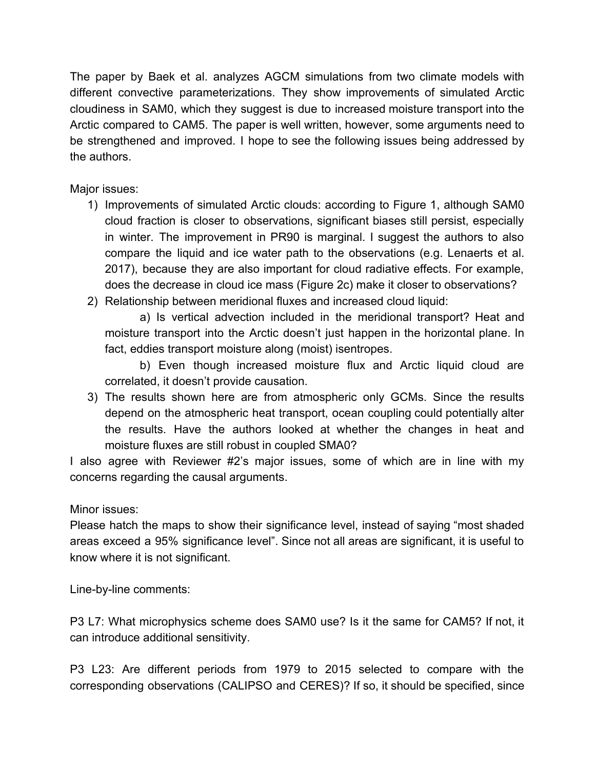The paper by Baek et al. analyzes AGCM simulations from two climate models with different convective parameterizations. They show improvements of simulated Arctic cloudiness in SAM0, which they suggest is due to increased moisture transport into the Arctic compared to CAM5. The paper is well written, however, some arguments need to be strengthened and improved. I hope to see the following issues being addressed by the authors.

Major issues:

- 1) Improvements of simulated Arctic clouds: according to Figure 1, although SAM0 cloud fraction is closer to observations, significant biases still persist, especially in winter. The improvement in PR90 is marginal. I suggest the authors to also compare the liquid and ice water path to the observations (e.g. Lenaerts et al. 2017), because they are also important for cloud radiative effects. For example, does the decrease in cloud ice mass (Figure 2c) make it closer to observations?
- 2) Relationship between meridional fluxes and increased cloud liquid:

a) Is vertical advection included in the meridional transport? Heat and moisture transport into the Arctic doesn't just happen in the horizontal plane. In fact, eddies transport moisture along (moist) isentropes.

b) Even though increased moisture flux and Arctic liquid cloud are correlated, it doesn't provide causation.

3) The results shown here are from atmospheric only GCMs. Since the results depend on the atmospheric heat transport, ocean coupling could potentially alter the results. Have the authors looked at whether the changes in heat and moisture fluxes are still robust in coupled SMA0?

I also agree with Reviewer #2's major issues, some of which are in line with my concerns regarding the causal arguments.

Minor issues:

Please hatch the maps to show their significance level, instead of saying "most shaded areas exceed a 95% significance level". Since not all areas are significant, it is useful to know where it is not significant.

Line-by-line comments:

P3 L7: What microphysics scheme does SAM0 use? Is it the same for CAM5? If not, it can introduce additional sensitivity.

P3 L23: Are different periods from 1979 to 2015 selected to compare with the corresponding observations (CALIPSO and CERES)? If so, it should be specified, since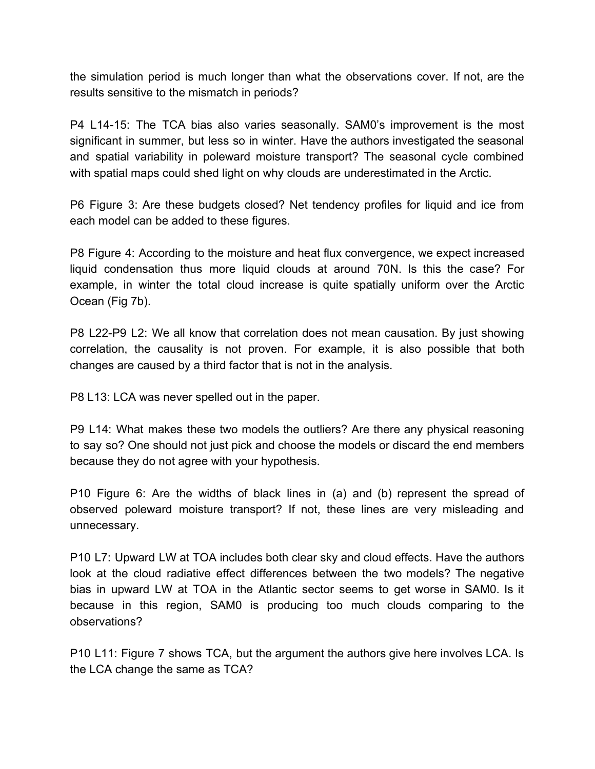the simulation period is much longer than what the observations cover. If not, are the results sensitive to the mismatch in periods?

P4 L14-15: The TCA bias also varies seasonally. SAM0's improvement is the most significant in summer, but less so in winter. Have the authors investigated the seasonal and spatial variability in poleward moisture transport? The seasonal cycle combined with spatial maps could shed light on why clouds are underestimated in the Arctic.

P6 Figure 3: Are these budgets closed? Net tendency profiles for liquid and ice from each model can be added to these figures.

P8 Figure 4: According to the moisture and heat flux convergence, we expect increased liquid condensation thus more liquid clouds at around 70N. Is this the case? For example, in winter the total cloud increase is quite spatially uniform over the Arctic Ocean (Fig 7b).

P8 L22-P9 L2: We all know that correlation does not mean causation. By just showing correlation, the causality is not proven. For example, it is also possible that both changes are caused by a third factor that is not in the analysis.

P8 L13: LCA was never spelled out in the paper.

P9 L14: What makes these two models the outliers? Are there any physical reasoning to say so? One should not just pick and choose the models or discard the end members because they do not agree with your hypothesis.

P10 Figure 6: Are the widths of black lines in (a) and (b) represent the spread of observed poleward moisture transport? If not, these lines are very misleading and unnecessary.

P10 L7: Upward LW at TOA includes both clear sky and cloud effects. Have the authors look at the cloud radiative effect differences between the two models? The negative bias in upward LW at TOA in the Atlantic sector seems to get worse in SAM0. Is it because in this region, SAM0 is producing too much clouds comparing to the observations?

P10 L11: Figure 7 shows TCA, but the argument the authors give here involves LCA. Is the LCA change the same as TCA?